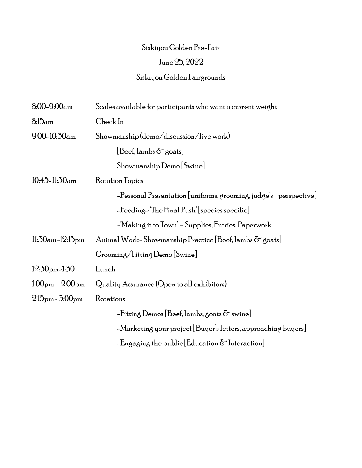## Siskiyou Golden Pre-Fair June 25, 2022 Siskiyou Golden Fairgrounds

| $8.00 - 9.00$ am                           | Scales available for participants who want a current weight      |
|--------------------------------------------|------------------------------------------------------------------|
| 8.15 <sub>am</sub>                         | Check In                                                         |
| $9.00 - 10.30$ am                          | Showmanship (demo/discussion/live work)                          |
|                                            | $[Beef, lambs \& \text{ } \text{ }6$                             |
|                                            | Showmanship Demo [Swine]                                         |
| $10.45 - 11.50$ am                         | Rotation Topics                                                  |
|                                            | -Personal Presentation [uniforms, grooming, judge's perspective] |
|                                            | -Feeding-The Final Push' [species specific]                      |
|                                            | -'Making it to Town' – Supplies, Entries, Paperwork              |
| $11:30$ am-12:15 <sub>pm</sub>             | Animal Work-Showmanship Practice [Beef, lambs & goats]           |
|                                            | Grooming/Fitting Demo [Swine]                                    |
| $12.30$ <sub>pm</sub> -1.30                | Lunch                                                            |
| $1.00pm - 2.00pm$                          | Quality Assurance (Open to all exhibitors)                       |
| $2.15$ <sub>pm</sub> $ 5.00$ <sub>pm</sub> | Rotations                                                        |
|                                            | -Fitting Demos [Beef, lambs, goats $\delta$ swine]               |
|                                            | -Marketing your project [Buyer's letters, approaching buyers]    |
|                                            | -Engaging the public [Education $\delta$ Interaction]            |